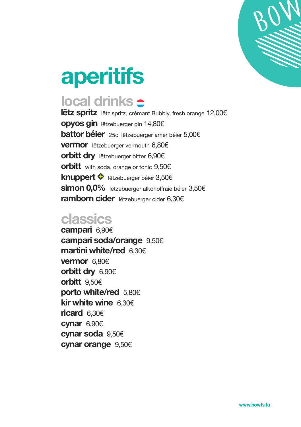

# **aperitifs**

# **local drinks**

**lëtz spritz** lëtz spritz, crémant Bubbly, fresh orange 12,00€ **opyos gin** lëtzebuerger gin 14,80€ **battor béier** 25cl lëtzebuerger amer béier 5,00€ **vermor** lëtzebuerger vermouth 6,80€ **orbitt dry** lëtzebuerger bitter 6,90€ **orbitt** with soda, orange or tonic 9,50€ **knuppert ♦** lëtzebuerger béier 3,50€ **simon 0,0%** lëtzebuerger alkoholfräie béier 3,50€ **ramborn cider** lëtzebuerger cider 6,30€

#### **classics**

**campari** 6,90€ **campari soda/orange** 9,50€ **martini white/red** 6,30€ **vermor** 6,80€ **orbitt dry** 6,90€ **orbitt** 9,50€ **porto white/red** 5,80€ **kir white wine** 6,30€ **ricard** 6,30€ **cynar** 6,90€ **cynar soda** 9,50€ **cynar orange** 9,50€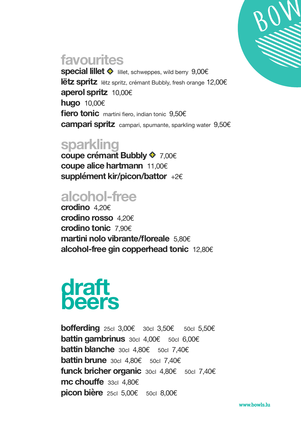

## **favourites**

**special lillet ♦** lillet, schweppes, wild berry 9,00€ **lëtz spritz** lëtz spritz, crémant Bubbly, fresh orange 12,00€ **aperol spritz** 10,00€ **hugo** 10,00€ **fiero tonic** martini fiero, indian tonic 9,50€ **campari spritz** campari, spumante, sparkling water 9,50€

### **sparkling**

**coupe crémant Bubbly** 7,00€ **coupe alice hartmann** 11,00€ **supplément kir/picon/battor** +2€

# **alcohol-free**

**crodino** 4,20€ **crodino rosso** 4,20€ **crodino tonic** 7,90€ **martini nolo vibrante/floreale** 5,80€ **alcohol-free gin copperhead tonic** 12,80€

# **draft beers**

**bofferding** 25cl 3,00€ 30cl 3,50€ 50cl 5,50€ **battin gambrinus** 30cl 4,00€ 50cl 6,00€ **battin blanche** 30cl 4,80€ 50cl 7,40€ **battin brune** 30cl 4,80€ 50cl 7,40€ **funck bricher organic** 30cl 4,80€ 50cl 7,40€ **mc chouffe** 33cl 4,80€ **picon bière** 25cl 5,00€ 50cl 8,00€

**www.bowls.lu**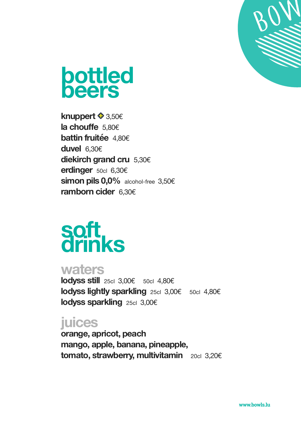



**knuppert** 3,50€ **la chouffe** 5,80€ **battin fruitée** 4,80€ **duvel** 6,30€ **diekirch grand cru** 5,30€ **erdinger** 50cl 6,30€ **simon pils 0,0%** alcohol-free 3,50€ **ramborn cider** 6,30€

# **soft drinks**

#### **waters**

**lodyss still** 25cl 3,00€ 50cl 4,80€ **lodyss lightly sparkling** 25cl 3,00€ 50cl 4,80€ **lodyss sparkling** 25cl 3,00€

### **juices**

**orange, apricot, peach mango, apple, banana, pineapple, tomato, strawberry, multivitamin** 20cl 3,20€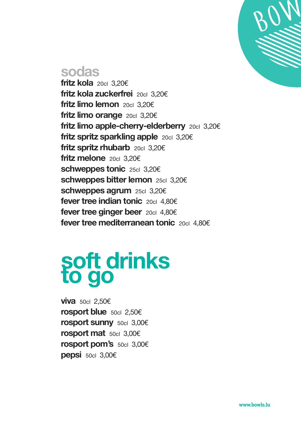

#### **sodas**

**fritz kola** 20cl 3,20€ **fritz kola zuckerfrei** 20cl 3,20€ **fritz limo lemon** 20cl 3,20€ **fritz limo orange** 20cl 3,20€ **fritz limo apple-cherry-elderberry** 20cl 3,20€ **fritz spritz sparkling apple** 20cl 3,20€ **fritz spritz rhubarb** 20cl 3,20€ **fritz melone** 20cl 3,20€ **schweppes tonic** 25cl 3,20€ **schweppes bitter lemon** 25cl 3,20€ **schweppes agrum** 25cl 3,20€ **fever tree indian tonic** 20cl 4,80€ **fever tree ginger beer** 20cl 4,80€ **fever tree mediterranean tonic** 20cl 4,80€

# **soft drinks to go**

**viva** 50cl 2,50€ **rosport blue** 50cl 2,50€ **rosport sunny** 50cl 3,00€ **rosport mat** 50cl 3,00€ **rosport pom's** 50cl 3,00€ **pepsi** 50cl 3,00€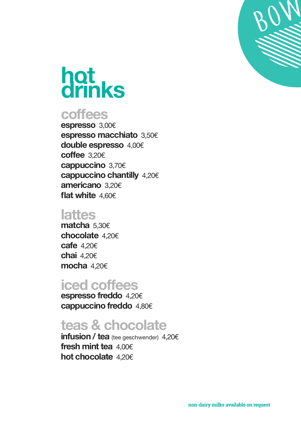

# **hot drinks**

#### **coffees**

**espresso** 3,00€ **espresso macchiato** 3,50€ **double espresso** 4,00€ **coffee** 3,20€ **cappuccino** 3,70€ **cappuccino chantilly** 4,20€ **americano** 3,20€ **flat white** 4,60€

#### **lattes**

**matcha** 5,30€ **chocolate** 4,20€ **cafe** 4,20€ **chai** 4,20€ **mocha** 4,20€

#### **iced coffees**

**espresso freddo** 4,20€ **cappuccino freddo** 4,80€

## **teas & chocolate**

**infusion / tea** (tee geschwender) 4,20€ **fresh mint tea** 4,00€ **hot chocolate** 4,20€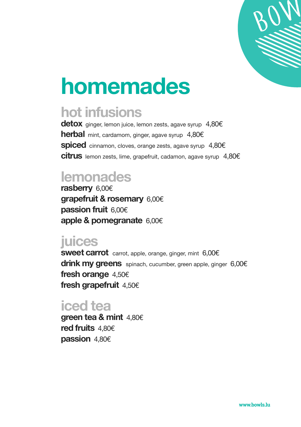

# **homemades**

## **hot infusions**

**detox** ginger, lemon juice, lemon zests, agave syrup4,80€ **herbal** mint, cardamom, ginger, agave syrup4,80€ **spiced** cinnamon, cloves, orange zests, agave syrup4,80€ **citrus** lemon zests, lime, grapefruit, cadamon, agave syrup4,80€

# **lemonades**

**rasberry** 6,00€ **grapefruit & rosemary** 6,00€ **passion fruit** 6,00€ **apple & pomegranate** 6,00€

## **juices**

**sweet carrot** carrot, apple, orange, ginger, mint 6,00€ **drink my greens** spinach, cucumber, green apple, ginger 6,00€ **fresh orange** 4,50€ **fresh grapefruit** 4,50€

### **iced tea**

**green tea & mint** 4,80€ **red fruits** 4,80€ **passion** 4,80€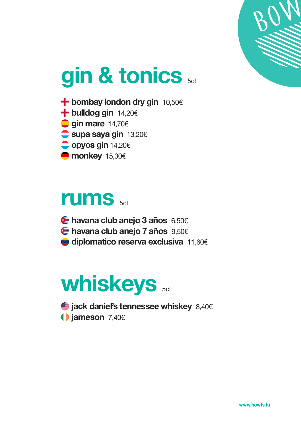

# **gin & tonics** 5cl

- **<sup>→</sup> bombay london dry gin** 10,50€
- $+$  **bulldog gin** 14,20€
- **gin mare** 14,70€
- **supa saya gin** 13,20€
- **opyos gin** 14,20€
- **monkey** 15,30€

# **rums** 5cl

- **havana club anejo 3 años** 6,50€
- **havana club anejo 7 años** 9,50€
- **diplomatico reserva exclusiva** 11,60€

# **whiskeys** 5cl

 **jack daniel's tennessee whiskey** 8,40€  **jameson** 7,40€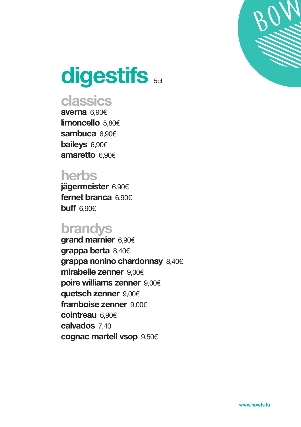

# **digestifs**  $5c$

## **classics**

**averna** 6,90€ **limoncello** 5,80€ **sambuca** 6,90€ **baileys** 6,90€ **amaretto** 6,90€

### **herbs**

**jägermeister** 6,90€ **fernet branca** 6,90€ **buff** 6,90€

#### **brandys**

**grand marnier** 6,90€ **grappa berta** 8,40€ **grappa nonino chardonnay** 8,40€ **mirabelle zenner** 9,00€ **poire williams zenner** 9,00€ **quetsch zenner** 9,00€ **framboise zenner** 9,00€ **cointreau** 6,90€ **calvados** 7,40 **cognac martell vsop** 9,50€